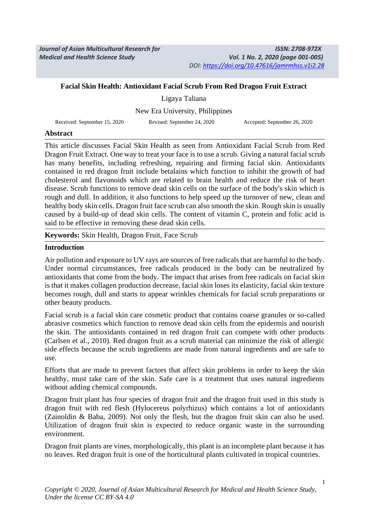*Journal of Asian Multicultural Research for Medical and Health Science Study*

#### **Facial Skin Health: Antioxidant Facial Scrub From Red Dragon Fruit Extract**

Ligaya Taliana New Era University, Philippines

Received: September 15, 2020 Revised: September 24, 2020 Accepted: September 26, 2020

#### **Abstract**

This article discusses Facial Skin Health as seen from Antioxidant Facial Scrub from Red Dragon Fruit Extract. One way to treat your face is to use a scrub. Giving a natural facial scrub has many benefits, including refreshing, repairing and firming facial skin. Antioxidants contained in red dragon fruit include betalains which function to inhibit the growth of bad cholesterol and flavonoids which are related to brain health and reduce the risk of heart disease. Scrub functions to remove dead skin cells on the surface of the body's skin which is rough and dull. In addition, it also functions to help speed up the turnover of new, clean and healthy body skin cells. Dragon fruit face scrub can also smooth the skin. Rough skin is usually caused by a build-up of dead skin cells. The content of vitamin C, protein and folic acid is said to be effective in removing these dead skin cells.

**Keywords:** Skin Health, Dragon Fruit, Face Scrub

#### **Introduction**

Air pollution and exposure to UV rays are sources of free radicals that are harmful to the body. Under normal circumstances, free radicals produced in the body can be neutralized by antioxidants that come from the body. The impact that arises from free radicals on facial skin is that it makes collagen production decrease, facial skin loses its elasticity, facial skin texture becomes rough, dull and starts to appear wrinkles chemicals for facial scrub preparations or other beauty products.

Facial scrub is a facial skin care cosmetic product that contains coarse granules or so-called abrasive cosmetics which function to remove dead skin cells from the epidermis and nourish the skin. The antioxidants contained in red dragon fruit can compete with other products (Carlsen et al., 2010). Red dragon fruit as a scrub material can minimize the risk of allergic side effects because the scrub ingredients are made from natural ingredients and are safe to use.

Efforts that are made to prevent factors that affect skin problems in order to keep the skin healthy, must take care of the skin. Safe care is a treatment that uses natural ingredients without adding chemical compounds.

Dragon fruit plant has four species of dragon fruit and the dragon fruit used in this study is dragon fruit with red flesh (Hylocereus polyrhizus) which contains a lot of antioxidants (Zainoldin & Baba, 2009). Not only the flesh, but the dragon fruit skin can also be used. Utilization of dragon fruit skin is expected to reduce organic waste in the surrounding environment.

Dragon fruit plants are vines, morphologically, this plant is an incomplete plant because it has no leaves. Red dragon fruit is one of the horticultural plants cultivated in tropical countries.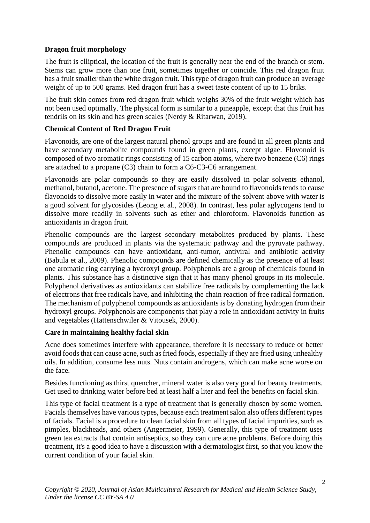# **Dragon fruit morphology**

The fruit is elliptical, the location of the fruit is generally near the end of the branch or stem. Stems can grow more than one fruit, sometimes together or coincide. This red dragon fruit has a fruit smaller than the white dragon fruit. This type of dragon fruit can produce an average weight of up to 500 grams. Red dragon fruit has a sweet taste content of up to 15 briks.

The fruit skin comes from red dragon fruit which weighs 30% of the fruit weight which has not been used optimally. The physical form is similar to a pineapple, except that this fruit has tendrils on its skin and has green scales (Nerdy & Ritarwan, 2019).

# **Chemical Content of Red Dragon Fruit**

Flavonoids, are one of the largest natural phenol groups and are found in all green plants and have secondary metabolite compounds found in green plants, except algae. Flovonoid is composed of two aromatic rings consisting of 15 carbon atoms, where two benzene (C6) rings are attached to a propane (C3) chain to form a C6-C3-C6 arrangement.

Flavonoids are polar compounds so they are easily dissolved in polar solvents ethanol, methanol, butanol, acetone. The presence of sugars that are bound to flavonoids tends to cause flavonoids to dissolve more easily in water and the mixture of the solvent above with water is a good solvent for glycosides (Leong et al., 2008). In contrast, less polar aglycogens tend to dissolve more readily in solvents such as ether and chloroform. Flavonoids function as antioxidants in dragon fruit.

Phenolic compounds are the largest secondary metabolites produced by plants. These compounds are produced in plants via the systematic pathway and the pyruvate pathway. Phenolic compounds can have antioxidant, anti-tumor, antiviral and antibiotic activity (Babula et al., 2009). Phenolic compounds are defined chemically as the presence of at least one aromatic ring carrying a hydroxyl group. Polyphenols are a group of chemicals found in plants. This substance has a distinctive sign that it has many phenol groups in its molecule. Polyphenol derivatives as antioxidants can stabilize free radicals by complementing the lack of electrons that free radicals have, and inhibiting the chain reaction of free radical formation. The mechanism of polyphenol compounds as antioxidants is by donating hydrogen from their hydroxyl groups. Polyphenols are components that play a role in antioxidant activity in fruits and vegetables (Hattenschwiler & Vitousek, 2000).

## **Care in maintaining healthy facial skin**

Acne does sometimes interfere with appearance, therefore it is necessary to reduce or better avoid foods that can cause acne, such as fried foods, especially if they are fried using unhealthy oils. In addition, consume less nuts. Nuts contain androgens, which can make acne worse on the face.

Besides functioning as thirst quencher, mineral water is also very good for beauty treatments. Get used to drinking water before bed at least half a liter and feel the benefits on facial skin.

This type of facial treatment is a type of treatment that is generally chosen by some women. Facials themselves have various types, because each treatment salon also offers different types of facials. Facial is a procedure to clean facial skin from all types of facial impurities, such as pimples, blackheads, and others (Angermeier, 1999). Generally, this type of treatment uses green tea extracts that contain antiseptics, so they can cure acne problems. Before doing this treatment, it's a good idea to have a discussion with a dermatologist first, so that you know the current condition of your facial skin.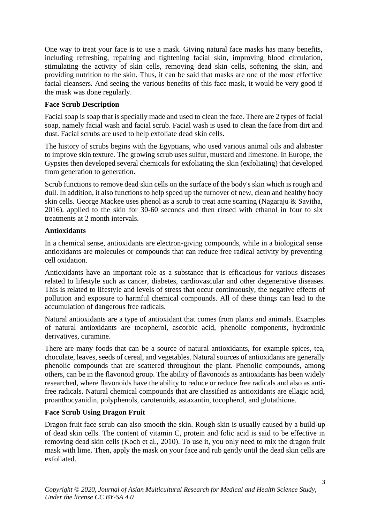One way to treat your face is to use a mask. Giving natural face masks has many benefits, including refreshing, repairing and tightening facial skin, improving blood circulation, stimulating the activity of skin cells, removing dead skin cells, softening the skin, and providing nutrition to the skin. Thus, it can be said that masks are one of the most effective facial cleansers. And seeing the various benefits of this face mask, it would be very good if the mask was done regularly.

## **Face Scrub Description**

Facial soap is soap that is specially made and used to clean the face. There are 2 types of facial soap, namely facial wash and facial scrub. Facial wash is used to clean the face from dirt and dust. Facial scrubs are used to help exfoliate dead skin cells.

The history of scrubs begins with the Egyptians, who used various animal oils and alabaster to improve skin texture. The growing scrub uses sulfur, mustard and limestone. In Europe, the Gypsies then developed several chemicals for exfoliating the skin (exfoliating) that developed from generation to generation.

Scrub functions to remove dead skin cells on the surface of the body's skin which is rough and dull. In addition, it also functions to help speed up the turnover of new, clean and healthy body skin cells. George Mackee uses phenol as a scrub to treat acne scarring (Nagaraju & Savitha, 2016). applied to the skin for 30-60 seconds and then rinsed with ethanol in four to six treatments at 2 month intervals.

## **Antioxidants**

In a chemical sense, antioxidants are electron-giving compounds, while in a biological sense antioxidants are molecules or compounds that can reduce free radical activity by preventing cell oxidation.

Antioxidants have an important role as a substance that is efficacious for various diseases related to lifestyle such as cancer, diabetes, cardiovascular and other degenerative diseases. This is related to lifestyle and levels of stress that occur continuously, the negative effects of pollution and exposure to harmful chemical compounds. All of these things can lead to the accumulation of dangerous free radicals.

Natural antioxidants are a type of antioxidant that comes from plants and animals. Examples of natural antioxidants are tocopherol, ascorbic acid, phenolic components, hydroxinic derivatives, curamine.

There are many foods that can be a source of natural antioxidants, for example spices, tea, chocolate, leaves, seeds of cereal, and vegetables. Natural sources of antioxidants are generally phenolic compounds that are scattered throughout the plant. Phenolic compounds, among others, can be in the flavonoid group. The ability of flavonoids as antioxidants has been widely researched, where flavonoids have the ability to reduce or reduce free radicals and also as antifree radicals. Natural chemical compounds that are classified as antioxidants are ellagic acid, proanthocyanidin, polyphenols, carotenoids, astaxantin, tocopherol, and glutathione.

## **Face Scrub Using Dragon Fruit**

Dragon fruit face scrub can also smooth the skin. Rough skin is usually caused by a build-up of dead skin cells. The content of vitamin C, protein and folic acid is said to be effective in removing dead skin cells (Koch et al., 2010). To use it, you only need to mix the dragon fruit mask with lime. Then, apply the mask on your face and rub gently until the dead skin cells are exfoliated.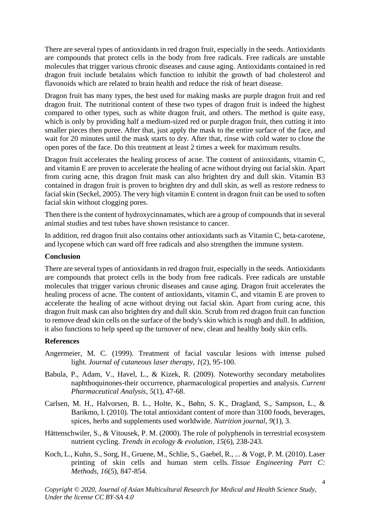There are several types of antioxidants in red dragon fruit, especially in the seeds. Antioxidants are compounds that protect cells in the body from free radicals. Free radicals are unstable molecules that trigger various chronic diseases and cause aging. Antioxidants contained in red dragon fruit include betalains which function to inhibit the growth of bad cholesterol and flavonoids which are related to brain health and reduce the risk of heart disease.

Dragon fruit has many types, the best used for making masks are purple dragon fruit and red dragon fruit. The nutritional content of these two types of dragon fruit is indeed the highest compared to other types, such as white dragon fruit, and others. The method is quite easy, which is only by providing half a medium-sized red or purple dragon fruit, then cutting it into smaller pieces then puree. After that, just apply the mask to the entire surface of the face, and wait for 20 minutes until the mask starts to dry. After that, rinse with cold water to close the open pores of the face. Do this treatment at least 2 times a week for maximum results.

Dragon fruit accelerates the healing process of acne. The content of antioxidants, vitamin C, and vitamin E are proven to accelerate the healing of acne without drying out facial skin. Apart from curing acne, this dragon fruit mask can also brighten dry and dull skin. Vitamin B3 contained in dragon fruit is proven to brighten dry and dull skin, as well as restore redness to facial skin (Seckel, 2005). The very high vitamin E content in dragon fruit can be used to soften facial skin without clogging pores.

Then there is the content of hydroxycinnamates, which are a group of compounds that in several animal studies and test tubes have shown resistance to cancer.

In addition, red dragon fruit also contains other antioxidants such as Vitamin C, beta-carotene, and lycopene which can ward off free radicals and also strengthen the immune system.

#### **Conclusion**

There are several types of antioxidants in red dragon fruit, especially in the seeds. Antioxidants are compounds that protect cells in the body from free radicals. Free radicals are unstable molecules that trigger various chronic diseases and cause aging. Dragon fruit accelerates the healing process of acne. The content of antioxidants, vitamin C, and vitamin E are proven to accelerate the healing of acne without drying out facial skin. Apart from curing acne, this dragon fruit mask can also brighten dry and dull skin. Scrub from red dragon fruit can function to remove dead skin cells on the surface of the body's skin which is rough and dull. In addition, it also functions to help speed up the turnover of new, clean and healthy body skin cells.

#### **References**

- Angermeier, M. C. (1999). Treatment of facial vascular lesions with intense pulsed light. *Journal of cutaneous laser therapy*, *1*(2), 95-100.
- Babula, P., Adam, V., Havel, L., & Kizek, R. (2009). Noteworthy secondary metabolites naphthoquinones-their occurrence, pharmacological properties and analysis. *Current Pharmaceutical Analysis*, *5*(1), 47-68.
- Carlsen, M. H., Halvorsen, B. L., Holte, K., Bøhn, S. K., Dragland, S., Sampson, L., & Barikmo, I. (2010). The total antioxidant content of more than 3100 foods, beverages, spices, herbs and supplements used worldwide. *Nutrition journal*, *9*(1), 3.
- Hättenschwiler, S., & Vitousek, P. M. (2000). The role of polyphenols in terrestrial ecosystem nutrient cycling. *Trends in ecology & evolution*, *15*(6), 238-243.
- Koch, L., Kuhn, S., Sorg, H., Gruene, M., Schlie, S., Gaebel, R., ... & Vogt, P. M. (2010). Laser printing of skin cells and human stem cells. *Tissue Engineering Part C: Methods*, *16*(5), 847-854.

*Copyright © 2020, Journal of Asian Multicultural Research for Medical and Health Science Study, Under the license CC BY-SA 4.0*